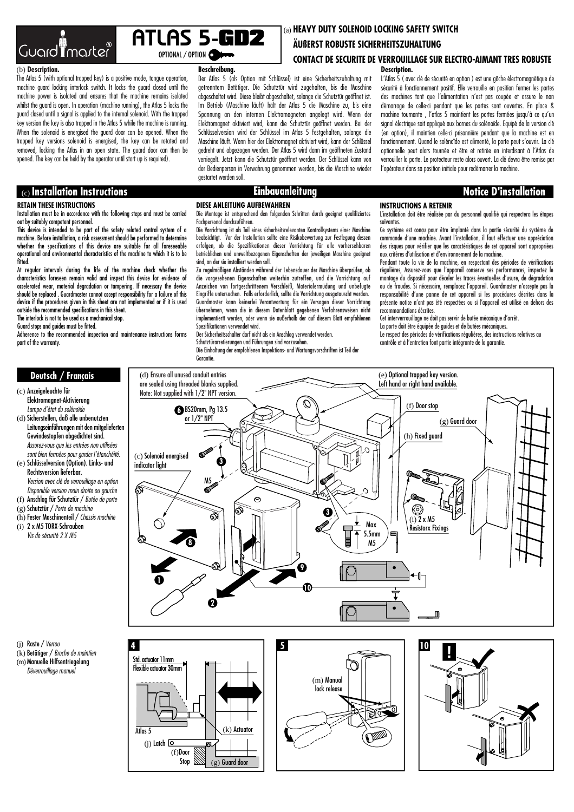

# OPTIONAL / OPTION ATLAS 5-GD2

**Beschreibung.**

gestartet werden soll.

### (b) **Description.**

The Atlas 5 (with optional trapped key) is a positive mode, tongue operation, machine guard locking interlock switch. It locks the guard closed until the machine power is isolated and ensures that the machine remains isolated whilst the guard is open. In operation (machine running), the Atlas 5 locks the guard closed until a signal is applied to the internal solenoid. With the trapped key version the key is also trapped in the Atlas 5 while the machine is running. When the solenoid is energised the guard door can be opened. When the trapped key versions solenoid is energised, the key can be rotated and removed, locking the Atlas in an open state. The guard door can then be opened. The key can be held by the operator until start up is required).

# (c) **Installation Instructions Notice D'installation Einbauanleitung**

### **RETAIN THESE INSTRUCTIONS**

Installation must be in accordance with the following steps and must be carried out by suitably competent personnel.

This device is intended to be part of the safety related control system of a machine. Before installation, a risk assessment should be performed to determine whether the specifications of this device are suitable for all foreseeable operational and environmental characteristics of the machine to which it is to be fitted.

At regular intervals during the life of the machine check whether the characteristics foreseen remain valid and inspect this device for evidence of accelerated wear, material degradation or tampering. If necessary the device should be replaced . Guardmaster cannot accept responsibility for a failure of this device if the procedures given in this sheet are not implemented or if it is used

outside the recommended specifications in this sheet. The interlock is not to be used as a mechanical stop.

Guard stops and guides must be fitted.

Adherence to the recommended inspection and maintenance instructions forms part of the warranty.

### (a) **HEAVY DUTY SOLENOID LOCKING SAFETY SWITCH**

### **ÄUßERST ROBUSTE SICHERHEITSZUHALTUNG**

### **CONTACT DE SECURITE DE VERROUILLAGE SUR ELECTRO-AIMANT TRES ROBUSTE**  Der Atlas 5 (als Option mit Schlüssel) ist eine Sicherheitszuhaltung mit **Description.**

L'Atlas 5 ( avec clé de sécurité en option ) est une gâche électromagnétique de sécurité à fonctionnement positif. Elle verrouille en position fermer les portes des machines tant que l'alimentation n'est pas coupée et assure le non démarrage de celle-ci pendant que les portes sont ouvertes. En place & machine tournante , l'atlas 5 maintient les portes fermées jusqu'à ce qu'un signal électrique soit appliqué aux bornes du solénoïde. Equipé de la version clé (en option), il maintien celle-ci prisonnière pendant que la machine est en fonctionnement. Quand le solénoïde est alimenté, la porte peut s'ouvrir. La clé optionnelle peut alors tournée et être et retirée en interdisant à l'Atlas de verrouiller la porte. Le protecteur reste alors ouvert. La clé devra être remise par l'opérateur dans sa position initiale pour redémarrer la machine.

getrenntem Betätiger. Die Schutztür wird zugehalten, bis die Maschine abgeschaltet wird. Diese bleibt abgeschaltet, solange die Schutztür geöffnet ist. Im Betrieb (Maschine läuft) hält der Atlas 5 die Maschine zu, bis eine Spannung an den internen Elektromagneten angelegt wird. Wenn der Elektromagnet aktiviert wird, kann die Schutztür geöffnet werden. Bei der Schlüsselversion wird der Schlüssel im Atlas 5 festgehalten, solange die Maschine läuft. Wenn hier der Elektromagnet aktiviert wird, kann der Schlüssel gedreht und abgezogen werden. Der Atlas 5 wird dann im geöffneten Zustand verriegelt. Jetzt kann die Schutztür geöffnet werden. Der Schlüssel kann von der Bedienperson in Verwahrung genommen werden, bis die Maschine wieder

### **DIESE ANLEITUNG AUFBEWAHREN**

Die Montage ist entsprechend den folgenden Schritten durch geeignet qualifiziertes Fachpersonal durchzuführen.

Die Vorrichtung ist als Teil eines sicherheitsrelevanten Kontrollsystems einer Maschine beabsichtigt. Vor der Installation sollte eine Risikobewertung zur Festlegung dessen erfolgen, ob die Spezifikationen dieser Vorrichtung für alle vorhersehbaren betrieblichen und umweltbezogenen Eigenschaften der jeweiligen Maschine geeignet sind, an der sie installiert werden soll.

Zu regelmäßigen Abständen während der Lebensdauer der Maschine überprüfen, ob die vorgesehenen Eigenschaften weiterhin zutreffen, und die Vorrichtung auf Anzeichen von fortgeschrittenem Verschleiß, Materialermüdung und unbefugte Eingriffe untersuchen. Falls erforderlich, sollte die Vorrichtung ausgetauscht werden. Guardmaster kann keinerlei Verantwortung für ein Versagen dieser Vorrichtung übernehmen, wenn die in diesem Datenblatt gegebenen Verfahrensweisen nicht implementiertt werden, oder wenn sie außerhalb der auf diesem Blatt empfohlenen Spezifikationen verwendet wird.

Der Sicherheitsschalter darf nicht als ein Anschlag verwendet werden.

Schutztürarretierungen und Führungen sind vorzusehen. Die Einhaltung der empfohlenen Inspektions- und Wartungsvorschriften ist Teil der Garantie.

### **INSTRUCTIONS A RETENIR**

L'installation doit être réalisée par du personnel qualifié qui respectera les étapes suivantes.

Ce système est conçu pour être implanté dans la partie sécurité du système de commande d'une machine. Avant l'installation, il faut effectuer une appréciation des risques pour vérifier que les caractéristiques de cet appareil sont appropriées aux critères d'utilisation et d'environnement de la machine.

Pendant toute la vie de la machine, en respectant des périodes de vérifications régulières, Assurez-vous que l'appareil conserve ses performances, inspectez le montage du dispositif pour déceler les traces éventuelles d'usure, de dégradation ou de fraudes. Si nécessaire, remplacez l'appareil. Guardmaster n'accepte pas la responsabilité d'une panne de cet appareil si les procédures décrites dans la présente notice n'ont pas été respectées ou si l'appareil est utilisé en dehors des recommandations décrites.

Cet interverrouillage ne doit pas servir de butée mécanique d'arrêt.

La porte doit être équipée de guides et de butées mécaniques. Le respect des périodes de vérifications régulières, des instructions relatives au

contrôle et à l'entretien font partie intégrante de la garantie.



(j) Raste / Verrou (k) Betätiger / Broche de maintien

(m)Manuelle Hilfsentriegelung

(f)Door Ston

(g) Guard door

(k) Actuator

 $(j)$  Latch  $\overline{O}$ 

Atlas<sub>5</sub>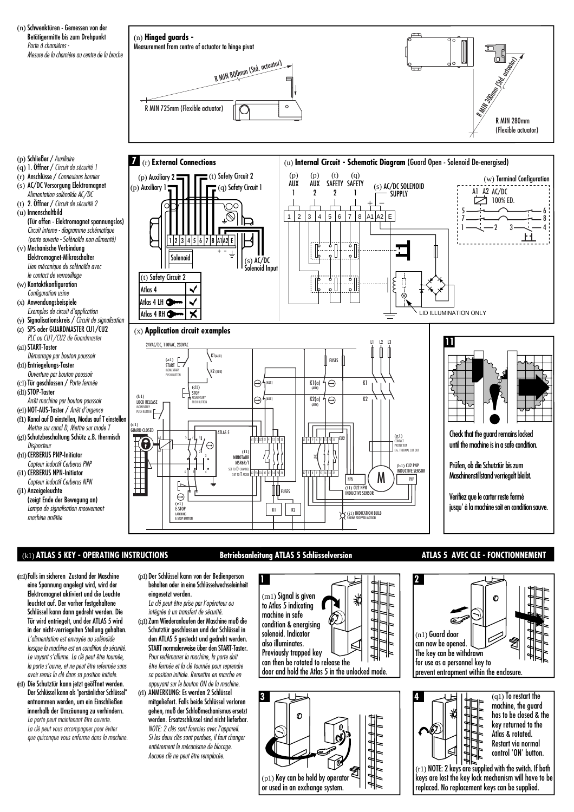

## (k1) **ATLAS 5 KEY - OPERATING INSTRUCTIONS ATLAS 5 AVEC CLE - FONCTIONNEMENT Betriebsanleitung ATLAS 5 Schlüsselversion**

- (m1)Falls im sicheren Zustand der Maschine eine Spannung angelegt wird, wird der Elektromagnet aktiviert und die Leuchte leuchtet auf. Der vorher festgehaltene Schlüssel kann dann gedreht werden. Die Tür wird entriegelt, und der ATLAS 5 wird in der nicht-verriegelten Stellung gehalten. L'alimentation est envoyée au solénoïde lorsque la machine est en condition de sécurité. Le voyant s'allume. La clé peut être tournée, la porte s'ouvre, et ne peut être refermée sans avoir remis la clé dans sa position initiale.
- (n1) Die Schutztür kann jetzt geöffnet werden. Der Schlüssel kann als "persönlicher Schlüssel" entnommen werden, um ein Einschließen innerhalb der Umzäunung zu verhindern. La porte peut maintenant être ouverte.

La clé peut vous accompagner pour éviter que quiconque vous enferme dans la machine. (p1) Der Schlüssel kann von der Bedienperson behalten oder in eine Schlüsselwechseleinheit eingesetzt werden.

**1**

- La clé peut être prise par l'opérateur ou intégrée à un transfert de sécurité. (q1)Zum Wiederanlaufen der Maschine muß die Schutztür geschlossen und der Schlüssel in den ATLAS 5 gesteckt und gedreht werden. START normalerweise über den START-Taster. Pour redémarrer la machine, la porte doit
- être fermée et la clé tournée pour reprendre sa position initiale. Remettre en marche en appuyant sur le bouton ON de la machine. (r1) ANMERKUNG: Es werden 2 Schlüssel mitgeliefert. Falls beide Schlüssel verloren gehen, muß der Schloßmechanismus ersetzt
	- werden. Ersatzschlüssel sind nicht lieferbar. NOTE: 2 clés sont fournies avec l'appareil. Si les deux clés sont perdues, il faut changer entièrement le mécanisme de blocage. Aucune clé ne peut être remplacée.



can then be rotated to release the door and hold the Atlas 5 in the unlocked mode.







Atlas & rotated. Restart via normal control 'ON' button.

 $(r1)$  NOTE: 2 keys are supplied with the switch. If both keys are lost the key lock mechanism will have to be replaced. No replacement keys can be supplied.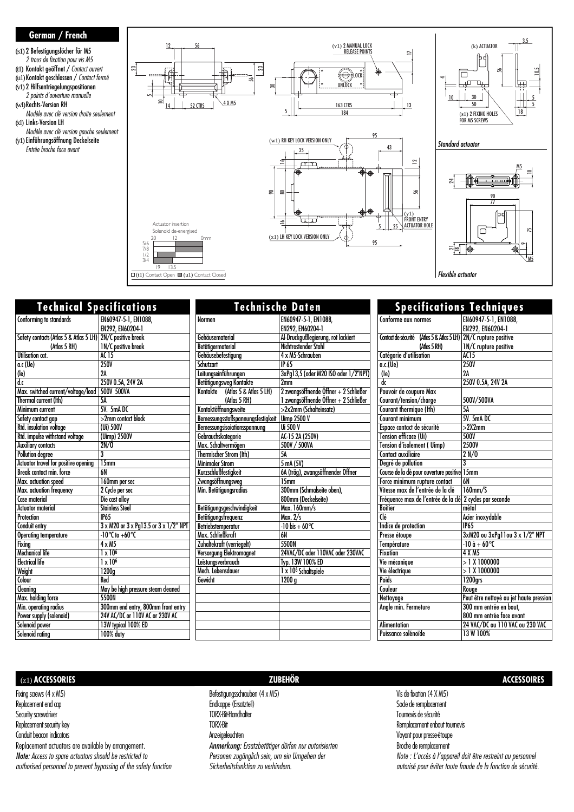### **German / French**

(s1) 2 Befestigungslöcher für M5 2 trous de fixation pour vis M5 (t1) Kontakt geöffnet / Contact ouvert (u1)Kontakt geschlossen / Contact fermé (v1) 2 Hilfsentriegelungspositionen 2 points d'ouverture manuelle (w1)Rechts-Version RH Modèle avec clé version droite seulement (x1) Links-Version LH Modèle avec clé version gauche seulement (y1) Einführungsöffnung Deckelseite Entrée broche face avant



Flexible actuator

| <b>Technical Specifications</b>                            |                                       | <b>Technische Daten</b>           |                                       |
|------------------------------------------------------------|---------------------------------------|-----------------------------------|---------------------------------------|
| Conforming to standards                                    | EN60947-5-1, EN1088,                  | <b>Normen</b>                     | EN60947-5-1, EN1088,                  |
|                                                            | EN292. EN60204-1                      |                                   | EN292. EN60204-1                      |
| Safety contacts (Atlas 5 & Atlas 5 LH) 2N/C positive break |                                       | Gehäusematerial                   | Al-Druckgußlegierung, rot lackiert    |
| (Atlas 5 RH)                                               | <b>IN/C</b> positive break            | Betätigermaterial                 | Nichtrostender Stahl                  |
| Utilisation cat.                                           | <b>AC15</b>                           | Gehäusebefestigung                | 4 x M5-Schrauben                      |
| a.c (Ue)                                                   | <b>250V</b>                           | Schutzart                         | <b>IP 65</b>                          |
| $(\mathsf{I}\mathsf{e})$                                   | 2A                                    | Leitungseinführungen              | 3xPg13,5 (oder M20 ISO oder 1/2"NPT)  |
| $\overline{d}$                                             | 250V 0.5A, 24V 2A                     | <b>Betätigungsweg Kontakte</b>    | 2 <sub>mm</sub>                       |
| Max. switched current/voltage/load                         | 500V 500VA                            | Kontakte (Atlas 5 & Atlas 5 LH)   | 2 zwangsöffnende Öffner + 2 Schließer |
| Thermal current (lth)                                      | 5A                                    | (Atlas 5 RH)                      | 1 zwangsöffnende Öffner + 2 Schließer |
| Minimum current                                            | 5V. 5mADC                             | Kontaktöffnungsweite              | >2x2mm (Schalteinsatz)                |
| Safety contact gap                                         | $>2$ mm contact block                 | Bemessungsstoßspannungsfestigkeit | <b>Uimp 2500 V</b>                    |
| Rtd. insulation voltage                                    | (Ui) 500V                             | Bemessungsisoiationsspannung      | Ui 500 V                              |
| Rtd. impulse withstand voltage                             | (Uimp) 2500V                          | Gebrauchskategorie                | AC-15 2A (250V)                       |
| <b>Auxiliary contacts</b>                                  | 2N/0                                  | Max. Schaltvermögen               | 500V / 500VA                          |
| <b>Pollution degree</b>                                    | 3                                     | Thermischer Strom (Ith)           | <b>5A</b>                             |
| Actuator travel for positive opening                       | 15mm                                  | <b>Minimaler Strom</b>            | 5 mA (5V)                             |
| Break contact min. force                                   | <b>6N</b>                             | <b>Kurzschlußfestigkeit</b>       | 6A (träg), zwangsöffnender Öffner     |
| Max. actuation speed                                       | 160mm per sec                         | Zwangsöffnungsweg                 | 15mm                                  |
| Max. actuation frequency                                   | 2 Cycle per sec                       | Min. Betätigungsradius            | 300mm (Schmalseite oben),             |
| Case material                                              | Die cast alloy                        |                                   | 800mm (Deckelseite)                   |
| <b>Actuator material</b>                                   | <b>Stainless Steel</b>                | Betätigungsgeschwindigkeit        | Max. 160mm/s                          |
| Protection                                                 | <b>IP65</b>                           | Betätigungsfreguenz               | Max. 2/s                              |
| Conduit entry                                              | 3 x M20 or 3 x Pg13.5 or 3 x 1/2" NPT | Betriebstemperatur                | $-10$ bis + 60 $^{\circ}$ C           |
| <b>Operating temperature</b>                               | $-10^{\circ}$ C to $+60^{\circ}$ C    | Max Schließkraft                  | 6N                                    |
| Fixing                                                     | $4 \times M5$                         | Zuhaltekraft (verriegelt)         | 5500N                                 |
| <b>Mechanical life</b>                                     | $1 \times 10^6$                       | Versorgung Elektromagnet          | 24VAC/DC oder 110VAC oder 230VAC      |
| <b>Electrical life</b>                                     | $1 \times 10^6$                       | Leistungsverbrauch                | Typ. 13W 100% ED                      |
| Weight                                                     | 1200 <sub>a</sub>                     | Mech. Lebensdauer                 | 1 x 10 <sup>6</sup> Schaltspiele      |
| Colour                                                     | Red                                   | Gewicht                           | 1200q                                 |
| Cleaning                                                   | May be high pressure steam cleaned    |                                   |                                       |
| Max. holding force                                         | 5500N                                 |                                   |                                       |
| Min. operating radius                                      | 300mm end entry, 800mm front entry    |                                   |                                       |
| Power supply (solenoid)                                    | 24V AC/DC or 110V AC or 230V AC       |                                   |                                       |
| Solenoid power                                             | 13W typical 100% ED                   |                                   |                                       |
| Solenoid rating                                            | 100% duty                             |                                   |                                       |

 $\Box$ (t1) Contact Open  $\Box$  (u1) Contact Closed

| <b>Specifications Techniques</b>                         |                                              |  |
|----------------------------------------------------------|----------------------------------------------|--|
| Conforme aux normes                                      | EN60947-5-1, EN1088,                         |  |
|                                                          | EN292, EN60204-1                             |  |
| Contact de sécurité                                      | (Atlas 5 & Atlas 5 LH) 2N/C rupture positive |  |
| (Atlas 5 RH)                                             | 1N/C rupture positive                        |  |
| Catégorie d'utilisation                                  | AC15                                         |  |
| a.c.(Ue)                                                 | <b>250V</b>                                  |  |
| $(\mathsf{Ie})$                                          | 2A                                           |  |
| dc                                                       | 250V 0.5A, 24V 2A                            |  |
| Pouvoir de coupure Max                                   |                                              |  |
| Courant/tension/charge                                   | 500V/500VA                                   |  |
| Courant thermique (Ith)                                  | 5A                                           |  |
| Courant minimum                                          | 5V. 5mA DC                                   |  |
| Espace contact de sécurité                               | >2X2mm                                       |  |
| <b>Tension efficace (Ui)</b>                             | 500V                                         |  |
| Tension d'isolement (Uimp)                               | <b>2500V</b>                                 |  |
| Contact auxiliaire                                       | 2 N/0                                        |  |
| Degré de pollution                                       | $\overline{3}$                               |  |
| Course de la dé pour ouverture positive 15mm             |                                              |  |
| Force minimum rupture contact                            | 6N                                           |  |
| Vitesse max de l'entrée de la clé                        | $160$ mm/S                                   |  |
| Fréquence max de l'entrée de la clé 2 cycles par seconde |                                              |  |
| <b>Boîtier</b>                                           | métal                                        |  |
| Clé                                                      | Acier inoxydable                             |  |
| Indice de protection                                     | <b>IP65</b>                                  |  |
| Presse étoupe                                            | 3xM20 ou 3xPg11ou 3 x 1/2" NPT               |  |
| Température                                              | $-10a + 60C$                                 |  |
| <b>Fixation</b>                                          | 4 X M5                                       |  |
| Vie mécanique                                            | > 1 X 1000000                                |  |
| Vie électrique                                           | >1 X 1000000                                 |  |
| <b>Poids</b>                                             | 1200grs                                      |  |
| Couleur                                                  | Rouge                                        |  |
| Nettoyage                                                | Peut être nettoyé au jet haute pression      |  |
| Angle min. Fermeture                                     | 300 mm entrée en bout,                       |  |
|                                                          | 800 mm entrée face avant                     |  |
| <b>Alimentation</b>                                      | 24 VAC/DC ou 110 VAC ou 230 VAC              |  |
| Puissance solénoïde                                      | 13 W 100%                                    |  |
|                                                          |                                              |  |

### (z1) **ACCESSORIES ZUBEHÖR ACCESSOIRES**

Fixing screws (4 x M5) Replacement end cap Security screwdriver Replacement security key Conduit beacon indicators

Replacement actuators are available by arrangement. Note: Access to spare actuators should be restricted to authorised personnel to prevent bypassing of the safety function

Befestigungsschrauben (4 x M5) Endkappe (Ersatzteil) TORX-Bit-Handhalter TORX-Bit Anzeigeleuchten Anmerkung: Ersatzbetätiger dürfen nur autorisierten Personen zugänglich sein, um ein Umgehen der Sicherheitsfunktion zu verhindern.

Vis de fixation (4 X M5) Sode de remplacement Tournevis de sécurité Remplacement enbout tournevis Voyant pour presse-étoupe Broche de remplacement Note : L'accès à l'appareil doit être restreint au personnel autorisé pour éviter toute fraude de la fonction de sécurité.